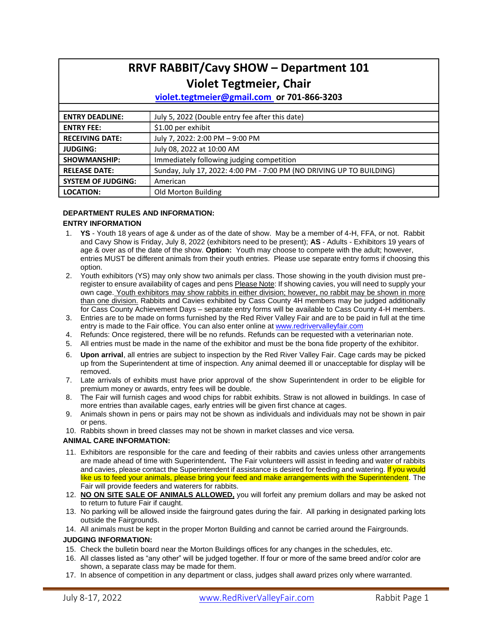| <b>RRVF RABBIT/Cavy SHOW - Department 101</b> |                                                                      |  |  |  |  |
|-----------------------------------------------|----------------------------------------------------------------------|--|--|--|--|
|                                               | <b>Violet Tegtmeier, Chair</b>                                       |  |  |  |  |
|                                               | violet.tegtmeier@gmail.com or 701-866-3203                           |  |  |  |  |
|                                               |                                                                      |  |  |  |  |
| <b>ENTRY DEADLINE:</b>                        | July 5, 2022 (Double entry fee after this date)                      |  |  |  |  |
| <b>ENTRY FEE:</b>                             | \$1.00 per exhibit                                                   |  |  |  |  |
| <b>RECEIVING DATE:</b>                        | July 7, 2022: 2:00 PM - 9:00 PM                                      |  |  |  |  |
| <b>JUDGING:</b>                               | July 08, 2022 at 10:00 AM                                            |  |  |  |  |
| <b>SHOWMANSHIP:</b>                           | Immediately following judging competition                            |  |  |  |  |
| <b>RELEASE DATE:</b>                          | Sunday, July 17, 2022: 4:00 PM - 7:00 PM (NO DRIVING UP TO BUILDING) |  |  |  |  |
| <b>SYSTEM OF JUDGING:</b>                     | American                                                             |  |  |  |  |
| <b>LOCATION:</b>                              | Old Morton Building                                                  |  |  |  |  |

#### **DEPARTMENT RULES AND INFORMATION: ENTRY INFORMATION**

- 1. **YS** Youth 18 years of age & under as of the date of show. May be a member of 4-H, FFA, or not. Rabbit and Cavy Show is Friday, July 8, 2022 (exhibitors need to be present); **AS** - Adults - Exhibitors 19 years of age & over as of the date of the show. **Option:** Youth may choose to compete with the adult; however, entries MUST be different animals from their youth entries. Please use separate entry forms if choosing this option.
- 2. Youth exhibitors (YS) may only show two animals per class. Those showing in the youth division must preregister to ensure availability of cages and pens Please Note: If showing cavies, you will need to supply your own cage. Youth exhibitors may show rabbits in either division; however, no rabbit may be shown in more than one division. Rabbits and Cavies exhibited by Cass County 4H members may be judged additionally for Cass County Achievement Days – separate entry forms will be available to Cass County 4-H members.
- 3. Entries are to be made on forms furnished by the Red River Valley Fair and are to be paid in full at the time entry is made to the Fair office. You can also enter online at [www.redrivervalleyfair.com](http://www.redrivervalleyfair.com/)
- 4. Refunds: Once registered, there will be no refunds. Refunds can be requested with a veterinarian note.
- 5. All entries must be made in the name of the exhibitor and must be the bona fide property of the exhibitor.
- 6. **Upon arrival**, all entries are subject to inspection by the Red River Valley Fair. Cage cards may be picked up from the Superintendent at time of inspection. Any animal deemed ill or unacceptable for display will be removed.
- 7. Late arrivals of exhibits must have prior approval of the show Superintendent in order to be eligible for premium money or awards, entry fees will be double.
- 8. The Fair will furnish cages and wood chips for rabbit exhibits. Straw is not allowed in buildings. In case of more entries than available cages, early entries will be given first chance at cages.
- 9. Animals shown in pens or pairs may not be shown as individuals and individuals may not be shown in pair or pens.
- 10. Rabbits shown in breed classes may not be shown in market classes and vice versa.

#### **ANIMAL CARE INFORMATION:**

- 11. Exhibitors are responsible for the care and feeding of their rabbits and cavies unless other arrangements are made ahead of time with Superintendent**.** The Fair volunteers will assist in feeding and water of rabbits and cavies, please contact the Superintendent if assistance is desired for feeding and watering. If you would like us to feed your animals, please bring your feed and make arrangements with the Superintendent. The Fair will provide feeders and waterers for rabbits.
- 12. **NO ON SITE SALE OF ANIMALS ALLOWED,** you will forfeit any premium dollars and may be asked not to return to future Fair if caught.
- 13. No parking will be allowed inside the fairground gates during the fair. All parking in designated parking lots outside the Fairgrounds.
- 14. All animals must be kept in the proper Morton Building and cannot be carried around the Fairgrounds.

#### **JUDGING INFORMATION:**

- 15. Check the bulletin board near the Morton Buildings offices for any changes in the schedules, etc.
- 16. All classes listed as "any other" will be judged together. If four or more of the same breed and/or color are shown, a separate class may be made for them.
- 17. In absence of competition in any department or class, judges shall award prizes only where warranted.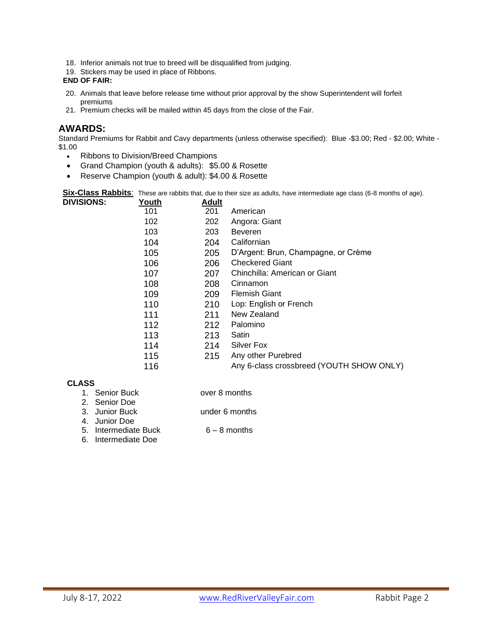- 18. Inferior animals not true to breed will be disqualified from judging.
- 19. Stickers may be used in place of Ribbons.

# **END OF FAIR:**

- 20. Animals that leave before release time without prior approval by the show Superintendent will forfeit premiums
- 21. Premium checks will be mailed within 45 days from the close of the Fair.

# **AWARDS:**

Standard Premiums for Rabbit and Cavy departments (unless otherwise specified): Blue -\$3.00; Red - \$2.00; White - \$1.00

- Ribbons to Division/Breed Champions
- Grand Champion (youth & adults): \$5.00 & Rosette
- Reserve Champion (youth & adult): \$4.00 & Rosette

**Six-Class Rabbits**: These are rabbits that, due to their size as adults, have intermediate age class (6-8 months of age). **DIVISIONS:** 

| .טויט | 1 vuu 1 | nuun |                                          |
|-------|---------|------|------------------------------------------|
|       | 101     | 201  | American                                 |
|       | 102     | 202  | Angora: Giant                            |
|       | 103     | 203  | <b>Beveren</b>                           |
|       | 104     | 204  | Californian                              |
|       | 105     | 205  | D'Argent: Brun, Champagne, or Crème      |
|       | 106     | 206  | <b>Checkered Giant</b>                   |
|       | 107     | 207  | Chinchilla: American or Giant            |
|       | 108     | 208  | Cinnamon                                 |
|       | 109     | 209  | <b>Flemish Giant</b>                     |
|       | 110     | 210  | Lop: English or French                   |
|       | 111     | 211  | New Zealand                              |
|       | 112     | 212  | Palomino                                 |
|       | 113     | 213  | Satin                                    |
|       | 114     | 214  | Silver Fox                               |
|       | 115     | 215  | Any other Purebred                       |
|       | 116     |      | Any 6-class crossbreed (YOUTH SHOW ONLY) |
|       |         |      |                                          |

# **CLASS**

- 1. Senior Buck over 8 months
- 
- 2. Senior Doe
- 3. Junior Buck under 6 months
- 4. Junior Doe
- 5. Intermediate Buck 6 8 months
- 6. Intermediate Doe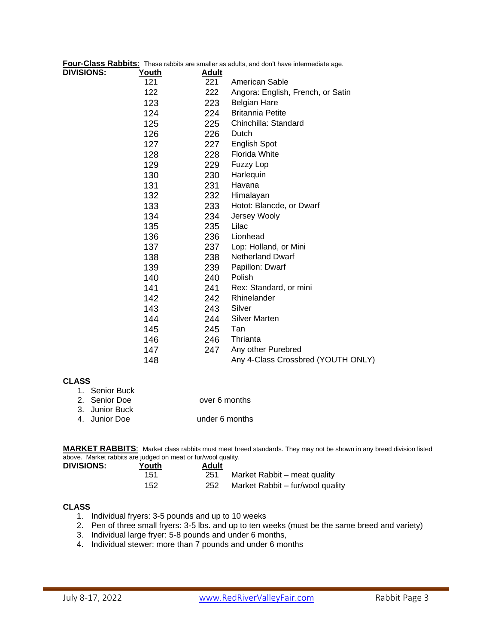|                   |              |       | Four-Class Rabbits: These rabbits are smaller as adults, and don't have intermediate age. |
|-------------------|--------------|-------|-------------------------------------------------------------------------------------------|
| <b>DIVISIONS:</b> | <u>Youth</u> | Adult |                                                                                           |
|                   | 121          | 221   | American Sable                                                                            |
|                   | 122          | 222   | Angora: English, French, or Satin                                                         |
|                   | 123          | 223   | <b>Belgian Hare</b>                                                                       |
|                   | 124          | 224   | <b>Britannia Petite</b>                                                                   |
|                   | 125          | 225   | Chinchilla: Standard                                                                      |
|                   | 126          | 226   | Dutch                                                                                     |
|                   | 127          | 227   | <b>English Spot</b>                                                                       |
|                   | 128          | 228   | <b>Florida White</b>                                                                      |
|                   | 129          | 229   | <b>Fuzzy Lop</b>                                                                          |
|                   | 130          | 230   | Harlequin                                                                                 |
|                   | 131          | 231   | Havana                                                                                    |
|                   | 132          | 232   | Himalayan                                                                                 |
|                   | 133          | 233   | Hotot: Blancde, or Dwarf                                                                  |
|                   | 134          | 234   | Jersey Wooly                                                                              |
|                   | 135          | 235   | Lilac                                                                                     |
|                   | 136          | 236   | Lionhead                                                                                  |
|                   | 137          | 237   | Lop: Holland, or Mini                                                                     |
|                   | 138          | 238   | <b>Netherland Dwarf</b>                                                                   |
|                   | 139          | 239   | Papillon: Dwarf                                                                           |
|                   | 140          | 240   | Polish                                                                                    |
|                   | 141          | 241   | Rex: Standard, or mini                                                                    |
|                   | 142          | 242   | Rhinelander                                                                               |
|                   | 143          | 243   | Silver                                                                                    |
|                   | 144          | 244   | <b>Silver Marten</b>                                                                      |
|                   | 145          | 245   | Tan                                                                                       |
|                   | 146          | 246   | Thrianta                                                                                  |
|                   | 147          | 247   | Any other Purebred                                                                        |
|                   | 148          |       | Any 4-Class Crossbred (YOUTH ONLY)                                                        |
|                   |              |       |                                                                                           |

# **CLASS**

| 1. Senior Buck |                |
|----------------|----------------|
| 2. Senior Doe  | over 6 months  |
| 3. Junior Buck |                |
| 4. Junior Doe  | under 6 months |

**MARKET RABBITS**: Market class rabbits must meet breed standards. They may not be shown in any breed division listed above. Market rabbits are judged on meat or fur/wool quality.

| <b>DIVISIONS:</b> | Youth | Adult |                                  |
|-------------------|-------|-------|----------------------------------|
|                   | 151   | 251   | Market Rabbit – meat quality     |
|                   | 152   | 252   | Market Rabbit – fur/wool quality |

# **CLASS**

- 1. Individual fryers: 3-5 pounds and up to 10 weeks
- 2. Pen of three small fryers: 3-5 lbs. and up to ten weeks (must be the same breed and variety)
- 3. Individual large fryer: 5-8 pounds and under 6 months,
- 4. Individual stewer: more than 7 pounds and under 6 months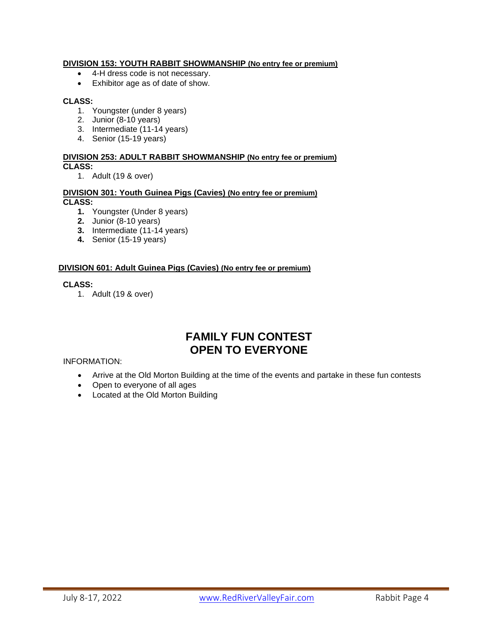# **DIVISION 153: YOUTH RABBIT SHOWMANSHIP (No entry fee or premium)**

- 4-H dress code is not necessary.
- Exhibitor age as of date of show.

# **CLASS:**

- 1. Youngster (under 8 years)
- 2. Junior (8-10 years)
- 3. Intermediate (11-14 years)
- 4. Senior (15-19 years)

#### **DIVISION 253: ADULT RABBIT SHOWMANSHIP (No entry fee or premium) CLASS:**

1. Adult (19 & over)

# **DIVISION 301: Youth Guinea Pigs (Cavies) (No entry fee or premium) CLASS:**

- **1.** Youngster (Under 8 years)
- **2.** Junior (8-10 years)
- **3.** Intermediate (11-14 years)
- **4.** Senior (15-19 years)

# **DIVISION 601: Adult Guinea Pigs (Cavies) (No entry fee or premium)**

### **CLASS:**

1. Adult (19 & over)

# **FAMILY FUN CONTEST OPEN TO EVERYONE**

# INFORMATION:

- Arrive at the Old Morton Building at the time of the events and partake in these fun contests
- Open to everyone of all ages
- Located at the Old Morton Building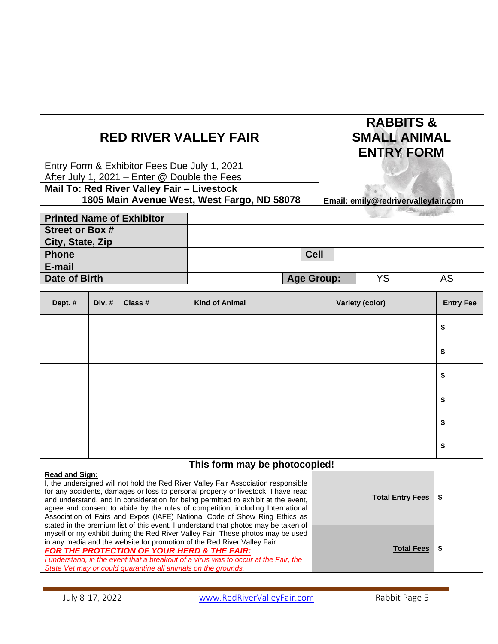# **RED RIVER VALLEY FAIR**

Entry Form & Exhibitor Fees Due July 1, 2021 After July 1, 2021 – Enter @ Double the Fees **Mail To: Red River Valley Fair – Livestock**

# **1805 Main Avenue West, West Fargo, ND 58078**

**Email: emily@redrivervalleyfair.com**

**RABBITS & SMALL ANIMAL ENTRY FORM**

| <b>Printed Name of Exhibitor</b> |                   |    |    |
|----------------------------------|-------------------|----|----|
| <b>Street or Box #</b>           |                   |    |    |
| City, State, Zip                 |                   |    |    |
| <b>Phone</b>                     | <b>Cell</b>       |    |    |
| E-mail                           |                   |    |    |
| Date of Birth                    | <b>Age Group:</b> | YS | AS |

| Dept. #                                                                                                                                                                                                                                                                                                                                                                                                                                                                                                                                                                                                                         | Div. $#$ | Class # | <b>Kind of Animal</b> |                         | Variety (color) |    |
|---------------------------------------------------------------------------------------------------------------------------------------------------------------------------------------------------------------------------------------------------------------------------------------------------------------------------------------------------------------------------------------------------------------------------------------------------------------------------------------------------------------------------------------------------------------------------------------------------------------------------------|----------|---------|-----------------------|-------------------------|-----------------|----|
|                                                                                                                                                                                                                                                                                                                                                                                                                                                                                                                                                                                                                                 |          |         |                       |                         |                 | \$ |
|                                                                                                                                                                                                                                                                                                                                                                                                                                                                                                                                                                                                                                 |          |         |                       |                         |                 | \$ |
|                                                                                                                                                                                                                                                                                                                                                                                                                                                                                                                                                                                                                                 |          |         |                       |                         |                 | \$ |
|                                                                                                                                                                                                                                                                                                                                                                                                                                                                                                                                                                                                                                 |          |         |                       |                         |                 | \$ |
|                                                                                                                                                                                                                                                                                                                                                                                                                                                                                                                                                                                                                                 |          |         |                       |                         |                 | \$ |
|                                                                                                                                                                                                                                                                                                                                                                                                                                                                                                                                                                                                                                 |          |         |                       |                         |                 | \$ |
| This form may be photocopied!                                                                                                                                                                                                                                                                                                                                                                                                                                                                                                                                                                                                   |          |         |                       |                         |                 |    |
| <b>Read and Sign:</b><br>I, the undersigned will not hold the Red River Valley Fair Association responsible<br>for any accidents, damages or loss to personal property or livestock. I have read<br>and understand, and in consideration for being permitted to exhibit at the event,<br>agree and consent to abide by the rules of competition, including International<br>Association of Fairs and Expos (IAFE) National Code of Show Ring Ethics as<br>stated in the premium list of this event. I understand that photos may be taken of<br>myself or my exhibit during the Red River Valley Fair. These photos may be used |          |         |                       | <b>Total Entry Fees</b> | \$              |    |

#### in any media and the website for promotion of the Red River Valley Fair. *FOR THE PROTECTION OF YOUR HERD & THE FAIR:*

*I understand, in the event that a breakout of a virus was to occur at the Fair, the State Vet may or could quarantine all animals on the grounds.* 

**Total Fees \$**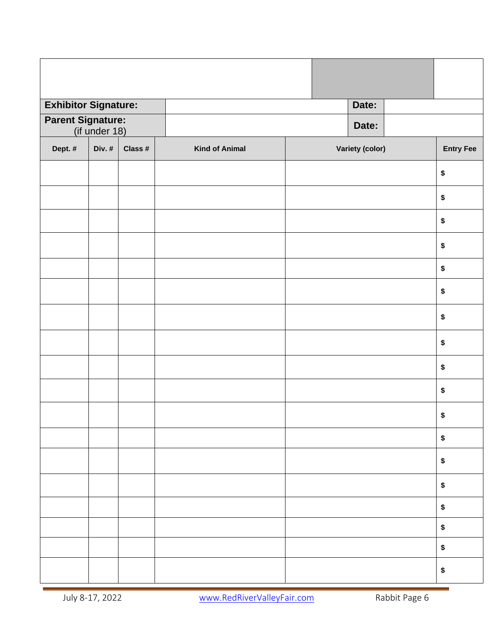| <b>Exhibitor Signature:</b> |                                           |         |                       |       | Date:           |  |                  |
|-----------------------------|-------------------------------------------|---------|-----------------------|-------|-----------------|--|------------------|
|                             | <b>Parent Signature:</b><br>(if under 18) |         |                       | Date: |                 |  |                  |
| Dept. #                     | Div. #                                    | Class # | <b>Kind of Animal</b> |       | Variety (color) |  | <b>Entry Fee</b> |
|                             |                                           |         |                       |       |                 |  |                  |
|                             |                                           |         |                       |       |                 |  | \$               |
|                             |                                           |         |                       |       |                 |  | \$               |
|                             |                                           |         |                       |       |                 |  | \$               |
|                             |                                           |         |                       |       |                 |  | \$               |
|                             |                                           |         |                       |       |                 |  | \$               |
|                             |                                           |         |                       |       |                 |  | \$               |
|                             |                                           |         |                       |       |                 |  | \$               |
|                             |                                           |         |                       |       |                 |  | \$               |
|                             |                                           |         |                       |       |                 |  | \$               |
|                             |                                           |         |                       |       |                 |  | \$               |
|                             |                                           |         |                       |       |                 |  | \$               |
|                             |                                           |         |                       |       |                 |  | \$               |
|                             |                                           |         |                       |       |                 |  | \$               |
|                             |                                           |         |                       |       |                 |  | $\pmb{\$}$       |
|                             |                                           |         |                       |       |                 |  | \$               |
|                             |                                           |         |                       |       |                 |  | \$               |
|                             |                                           |         |                       |       |                 |  | \$               |
|                             |                                           |         |                       |       |                 |  | \$               |